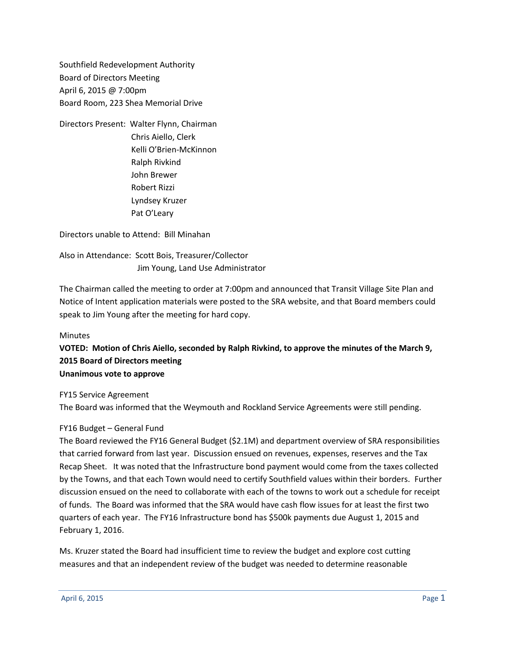Southfield Redevelopment Authority Board of Directors Meeting April 6, 2015 @ 7:00pm Board Room, 223 Shea Memorial Drive

Directors Present: Walter Flynn, Chairman Chris Aiello, Clerk Kelli O'Brien-McKinnon Ralph Rivkind John Brewer Robert Rizzi Lyndsey Kruzer Pat O'Leary

Directors unable to Attend: Bill Minahan

Also in Attendance: Scott Bois, Treasurer/Collector Jim Young, Land Use Administrator

The Chairman called the meeting to order at 7:00pm and announced that Transit Village Site Plan and Notice of Intent application materials were posted to the SRA website, and that Board members could speak to Jim Young after the meeting for hard copy.

## Minutes

**VOTED: Motion of Chris Aiello, seconded by Ralph Rivkind, to approve the minutes of the March 9, 2015 Board of Directors meeting Unanimous vote to approve**

FY15 Service Agreement

The Board was informed that the Weymouth and Rockland Service Agreements were still pending.

## FY16 Budget – General Fund

The Board reviewed the FY16 General Budget (\$2.1M) and department overview of SRA responsibilities that carried forward from last year. Discussion ensued on revenues, expenses, reserves and the Tax Recap Sheet. It was noted that the Infrastructure bond payment would come from the taxes collected by the Towns, and that each Town would need to certify Southfield values within their borders. Further discussion ensued on the need to collaborate with each of the towns to work out a schedule for receipt of funds. The Board was informed that the SRA would have cash flow issues for at least the first two quarters of each year. The FY16 Infrastructure bond has \$500k payments due August 1, 2015 and February 1, 2016.

Ms. Kruzer stated the Board had insufficient time to review the budget and explore cost cutting measures and that an independent review of the budget was needed to determine reasonable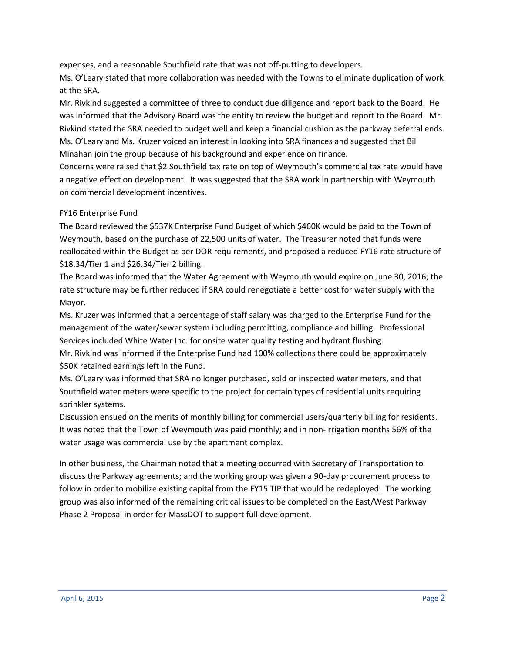expenses, and a reasonable Southfield rate that was not off-putting to developers.

Ms. O'Leary stated that more collaboration was needed with the Towns to eliminate duplication of work at the SRA.

Mr. Rivkind suggested a committee of three to conduct due diligence and report back to the Board. He was informed that the Advisory Board was the entity to review the budget and report to the Board. Mr. Rivkind stated the SRA needed to budget well and keep a financial cushion as the parkway deferral ends. Ms. O'Leary and Ms. Kruzer voiced an interest in looking into SRA finances and suggested that Bill Minahan join the group because of his background and experience on finance.

Concerns were raised that \$2 Southfield tax rate on top of Weymouth's commercial tax rate would have a negative effect on development. It was suggested that the SRA work in partnership with Weymouth on commercial development incentives.

# FY16 Enterprise Fund

The Board reviewed the \$537K Enterprise Fund Budget of which \$460K would be paid to the Town of Weymouth, based on the purchase of 22,500 units of water. The Treasurer noted that funds were reallocated within the Budget as per DOR requirements, and proposed a reduced FY16 rate structure of \$18.34/Tier 1 and \$26.34/Tier 2 billing.

The Board was informed that the Water Agreement with Weymouth would expire on June 30, 2016; the rate structure may be further reduced if SRA could renegotiate a better cost for water supply with the Mayor.

Ms. Kruzer was informed that a percentage of staff salary was charged to the Enterprise Fund for the management of the water/sewer system including permitting, compliance and billing. Professional Services included White Water Inc. for onsite water quality testing and hydrant flushing.

Mr. Rivkind was informed if the Enterprise Fund had 100% collections there could be approximately \$50K retained earnings left in the Fund.

Ms. O'Leary was informed that SRA no longer purchased, sold or inspected water meters, and that Southfield water meters were specific to the project for certain types of residential units requiring sprinkler systems.

Discussion ensued on the merits of monthly billing for commercial users/quarterly billing for residents. It was noted that the Town of Weymouth was paid monthly; and in non-irrigation months 56% of the water usage was commercial use by the apartment complex.

In other business, the Chairman noted that a meeting occurred with Secretary of Transportation to discuss the Parkway agreements; and the working group was given a 90-day procurement process to follow in order to mobilize existing capital from the FY15 TIP that would be redeployed. The working group was also informed of the remaining critical issues to be completed on the East/West Parkway Phase 2 Proposal in order for MassDOT to support full development.